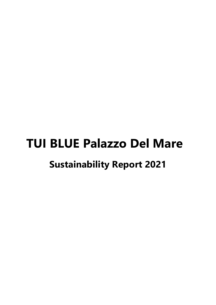# **TUI BLUE Palazzo Del Mare Sustainability Report 2021**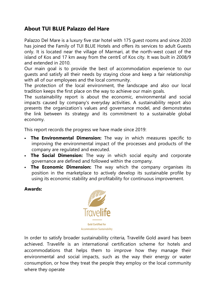## **About TUI BLUE Palazzo del Hare**

Palazzo Del Mare is a luxury five star hotel with 175 guest rooms and since 2020 has joined the Family of TUI BLUE Hotels and offers its services to adult Guests only. It is located near the village of Marmari, at the north-west coast of the island of Kos and 17 km away from the centrE of Kos city. It was built in 2008/9 and extended in 2010.

Our main goal is to provide the best of accommodation experience to our guests and satisfy all their needs by staying close and keep a fair relationship with all of our employees and the local community.

The protection of the local environment, the landscape and also our local tradition keeps the first place on the way to achieve our main goals.

The sustainability report is about the economic, environmental and social impacts caused by company's everyday activities. A sustainability report also presents the organization's values and governance model, and demonstrates the link between its strategy and its commitment to a sustainable global economy.

This report records the progress we have made since 2019:

- **The Environmental Dimension:** The way in which measures specific to improving the environmental impact of the processes and products of the company are regulated and executed.
- **The Social Dimension:** The way in which social equity and corporate governance are defined and followed within the company.
- **The Economic Dimension:** The way which the company organises its position in the marketplace to actively develop its sustainable profile by using its economic stability and profitability for continuous improvement.

**Awards:** 



In order to satisfy broader sustainability criteria, Travelife Gold award has been achieved. Travelife is an international certification scheme for hotels and accommodations that helps them to improve how they manage their environmental and social impacts, such as the way their energy or water consumption, or how they treat the people they employ or the local community where they operate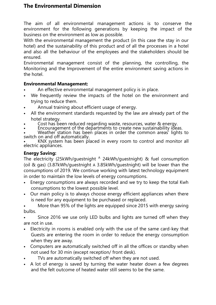# **The Environmental Dimension**

The aim of all environmental management actions is to conserve the environment for the following generations by keeping the impact of the business on the environment as low as possible.

With the environmental management the product (in this case the stay in our hotel) and the sustainability of this product and of all the processes in a hotel and also all the behaviour of the employees and the stakeholders should be ensured.

Environmental management consist of the planning, the controlling, the Monitoring and the Improvement of the entire environment saving actions in the hotel.

#### **Environmental Management:**

- An effective environmental management policy is in place.
- We frequently review the impacts of the hotel on the environment and trying to reduce them.
- Annual training about efficient usage of energy.
- All the environment standards requested by the law are already part of the hotel strategy.
- Cost has been reduced regarding waste, resources, water & energy.
- Encouragement of the departments to create new sustainability ideas.

• Weather station has been places in order the common areas' lights to switch on and off automatically.

• KNX system has been placed in every room to control and monitor all electric appliances.

#### **Energy Saving:**

The electricity (25kWh/guestnight <sup>A</sup> 24kWh/guestnight) & fuel consumption (oil & gas) (3.87kWh/guestnight A 3.85kWh/guestnight) will be lower than the consumptions of 2019. We continue working with latest technology equipment in order to maintain the low levels of energy consumptions.

- Energy consumptions are always recorded and we try to keep the total Kwh consumptions to the lowest possible level.
- Our main policy is to always choose energy efficient appliances when there is need for any equipment to be purchased or replaced.
- More than 95% of the lights are equipped since 2015 with energy saving bulbs.

Since 2016 we use only LED bulbs and lights are turned off when they are not in use.

- Electricity in rooms is enabled only with the use of the same card-key that Guests are entering the room in order to reduce the energy consumption when they are away.
- Computers are automatically switched off in all the offices or standby when not used for 30 min (except reception/ front desk).
- TVs are automatically switched off when they are not used.
- A lot of energy is saved by turning the water heater down a few degrees and the felt outcome of heated water still seems to be the same.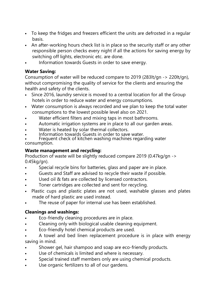- To keep the fridges and freezers efficient the units are defrosted in a regular basis.
- An after-working hours check list is in place so the security staff or any other responsible person checks every night if all the actions for saving energy by switching off lights, electronic etc. are done.
- Information towards Guests in order to save energy.

#### **Water Saving:**

Consumption of water will be reduced compare to 2019 (283lt/gn -> 220lt/gn), without compromising the quality of service for the clients and ensuring the health and safety of the clients.

- Since 2016, laundry service is moved to a central location for all the Group hotels in order to reduce water and energy consumptions.
- Water consumption is always recorded and we plan to keep the total water consumptions to the lowest possible level also on 2021.
- Water efficient filters and mixing taps in most bathrooms.
- Automatic irrigation systems are in place to all our garden areas.
- Water is heated by solar thermal collectors.
- Information towards Guests in order to save water.

• Frequent check of kitchen washing machines regarding water consumption.

#### **Waste management and recycling:**

Production of waste will be slightly reduced compare 2019 (0.47kg/gn -> 0.45kg/gn).

- Special recycle bins for batteries, glass and paper are in place.
- Guests and Staff are advised to recycle their waste if possible.
- Used oil & fats are collected by licensed contractors.
- Toner cartridges are collected and sent for recycling.
- Plastic cups and plastic plates are not used, washable glasses and plates made of hard plastic are used instead.
- The reuse of paper for internal use has been established.

#### **Cleanings and washings:**

- Eco-friendly cleaning procedures are in place.
- Cleaning only with biological usable cleaning equipment.
- Eco-friendly hotel chemical products are used.
- A towel and bed linen replacement procedure is in place with energy saving in mind.
- Shower gel, hair shampoo and soap are eco-friendly products.
- Use of chemicals is limited and where is necessary.
- Special trained staff members only are using chemical products.
- Use organic fertilizers to all of our gardens.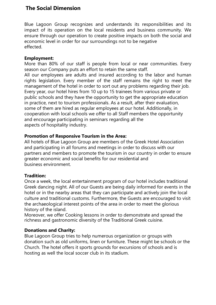### **The Social Dimension**

Blue Lagoon Group recognizes and understands its responsibilities and its impact of its operation on the local residents and business community. We ensure through our operation to create positive impacts on both the social and economic level in order for our surroundings not to be negative effected.

#### **Employment:**

More than 80% of our staff is people from local or near communities. Every season our Company puts an effort to retain the same staff.

All our employees are adults and insured according to the labor and human rights legislation. Every member of the staff remains the right to meet the management of the hotel in order to sort out any problems regarding their job. Every year, our hotel hires from 10 up to 15 trainees from various private or public schools and they have the opportunity to get the appropriate education in practice, next to tourism professionals. As a result, after their evaluation, some of them are hired as regular employees at our hotel. Additionally, in cooperation with local schools we offer to all Staff members the opportunity and encourage participating in seminars regarding all the aspects of hospitality industry.

#### **Promotion of Responsive Tourism in the Area:**

All hotels of Blue Lagoon Group are members of the Greek Hotel Association and participating in all forums and meetings in order to discuss with our partners and members to promote the tourism in our country in order to ensure greater economic and social benefits for our residential and business environment.

#### **Tradition:**

Once a week, the local entertainment program of our hotel includes traditional Greek dancing night. All of our Guests are being daily informed for events in the hotel or in the nearby areas that they can participate and actively join the local culture and traditional customs. Furthermore, the Guests are encouraged to visit the archaeological interest points of the area in order to meet the glorious history of the island.

Moreover, we offer Cooking lessons in order to demonstrate and spread the richness and gastronomic diversity of the Traditional Greek cuisine.

#### **Donations and Charity:**

Blue Lagoon Group tries to help numerous organization or groups with donation such as old uniforms, linen or furniture. These might be schools or the Church. The hotel offers it sports grounds for excursions of schools and is hosting as well the local soccer club in its stadium.